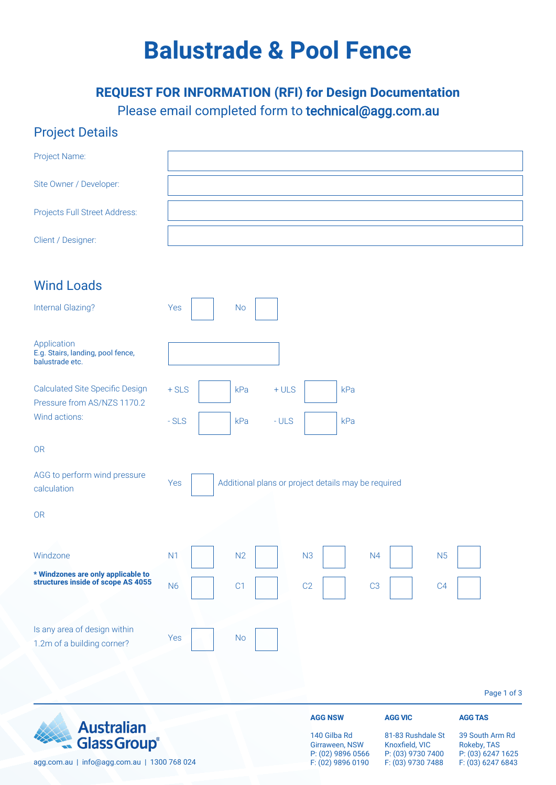# **Balustrade & Pool Fence**

### **REQUEST FOR INFORMATION (RFI) for Design Documentation** Please email completed form to technical@agg.com.au

#### Project Details

| <b>Glass Group®</b>                                                      |           |                                                     |        | 140 Gilba Rd<br>Girraween, NSW | P: (02) 9896 0566 | 81-83 Rushdale St<br>Knoxfield, VIC<br>P: (03) 9730 7400 | Rokeby, TAS    | 39 South Arm Rd<br>P: (03) 6247 1625 |
|--------------------------------------------------------------------------|-----------|-----------------------------------------------------|--------|--------------------------------|-------------------|----------------------------------------------------------|----------------|--------------------------------------|
| <b>Australian</b>                                                        |           |                                                     |        | <b>AGG NSW</b>                 |                   | <b>AGG VIC</b>                                           | <b>AGG TAS</b> |                                      |
|                                                                          |           |                                                     |        |                                |                   |                                                          |                | Page 1 of 3                          |
| 1.2m of a building corner?                                               | Yes       | <b>No</b>                                           |        |                                |                   |                                                          |                |                                      |
| Is any area of design within                                             |           |                                                     |        |                                |                   |                                                          |                |                                      |
| * Windzones are only applicable to<br>structures inside of scope AS 4055 | <b>N6</b> | C1                                                  |        | C <sub>2</sub>                 | C <sub>3</sub>    | C <sub>4</sub>                                           |                |                                      |
| Windzone                                                                 | N1        | N2                                                  |        | N <sub>3</sub>                 | N <sub>4</sub>    | N <sub>5</sub>                                           |                |                                      |
| <b>OR</b>                                                                |           |                                                     |        |                                |                   |                                                          |                |                                      |
| AGG to perform wind pressure<br>calculation                              | Yes       | Additional plans or project details may be required |        |                                |                   |                                                          |                |                                      |
| <b>OR</b>                                                                |           |                                                     |        |                                |                   |                                                          |                |                                      |
| Wind actions:                                                            | $-SLS$    | kPa                                                 | $-ULS$ |                                | kPa               |                                                          |                |                                      |
| <b>Calculated Site Specific Design</b><br>Pressure from AS/NZS 1170.2    | $+$ SLS   | kPa                                                 | $+ULS$ |                                | kPa               |                                                          |                |                                      |
| Application<br>E.g. Stairs, landing, pool fence,<br>balustrade etc.      |           |                                                     |        |                                |                   |                                                          |                |                                      |
| <b>Internal Glazing?</b>                                                 | Yes       | <b>No</b>                                           |        |                                |                   |                                                          |                |                                      |
| <b>Wind Loads</b>                                                        |           |                                                     |        |                                |                   |                                                          |                |                                      |
| Client / Designer:                                                       |           |                                                     |        |                                |                   |                                                          |                |                                      |
| Projects Full Street Address:                                            |           |                                                     |        |                                |                   |                                                          |                |                                      |
| Site Owner / Developer:                                                  |           |                                                     |        |                                |                   |                                                          |                |                                      |
| Project Name:                                                            |           |                                                     |        |                                |                   |                                                          |                |                                      |

F: (02) 9896 0190

F: (03) 9730 7488

F: (03) 6247 6843

agg.com.au | info@agg.com.au | 1300 768 024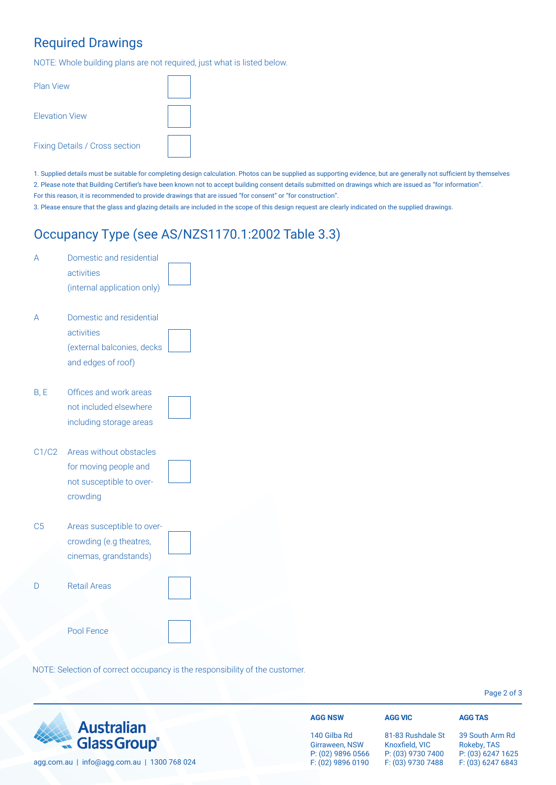#### Required Drawings

NOTE: Whole building plans are not required, just what is listed below.

| <b>Plan View</b>                      |  |
|---------------------------------------|--|
| <b>Flevation View</b>                 |  |
| <b>Fixing Details / Cross section</b> |  |

1. Supplied details must be suitable for completing design calculation. Photos can be supplied as supporting evidence, but are generally not sufficient by themselves 2. Please note that Building Certifier's have been known not to accept building consent details submitted on drawings which are issued as "for information". For this reason, it is recommended to provide drawings that are issued "for consent" or "for construction".

3. Please ensure that the glass and glazing details are included in the scope of this design request are clearly indicated on the supplied drawings.

#### Occupancy Type (see AS/NZS1170.1:2002 Table 3.3)

| А              | Domestic and residential<br>activities<br>(internal application only)                      |  |
|----------------|--------------------------------------------------------------------------------------------|--|
| А              | Domestic and residential<br>activities<br>(external balconies, decks<br>and edges of roof) |  |
| B, E           | Offices and work areas<br>not included elsewhere<br>including storage areas                |  |
| C1/C2          | Areas without obstacles<br>for moving people and<br>not susceptible to over-<br>crowding   |  |
| C <sub>5</sub> | Areas susceptible to over-<br>crowding (e.g theatres,<br>cinemas, grandstands)             |  |
| D              | <b>Retail Areas</b><br>Pool Fence                                                          |  |
|                |                                                                                            |  |

NOTE: Selection of correct occupancy is the responsibility of the customer.

Page 2 of 3

| <b>Australian</b>                           | <b>AGG NSW</b>                                      | <b>AGG VIC</b>                                           | <b>AGG TAS</b>                                      |  |
|---------------------------------------------|-----------------------------------------------------|----------------------------------------------------------|-----------------------------------------------------|--|
| <b>Australian</b><br>Glass Group®           | 140 Gilba Rd<br>Girraween, NSW<br>P: (02) 9896 0566 | 81-83 Rushdale St<br>Knoxfield, VIC<br>P: (03) 9730 7400 | 39 South Arm Rd<br>Rokeby, TAS<br>P: (03) 6247 1625 |  |
| agg.com.au   info@agg.com.au   1300 768 024 | F: (02) 9896 0190                                   | F: (03) 9730 7488                                        | F: (03) 6247 6843                                   |  |